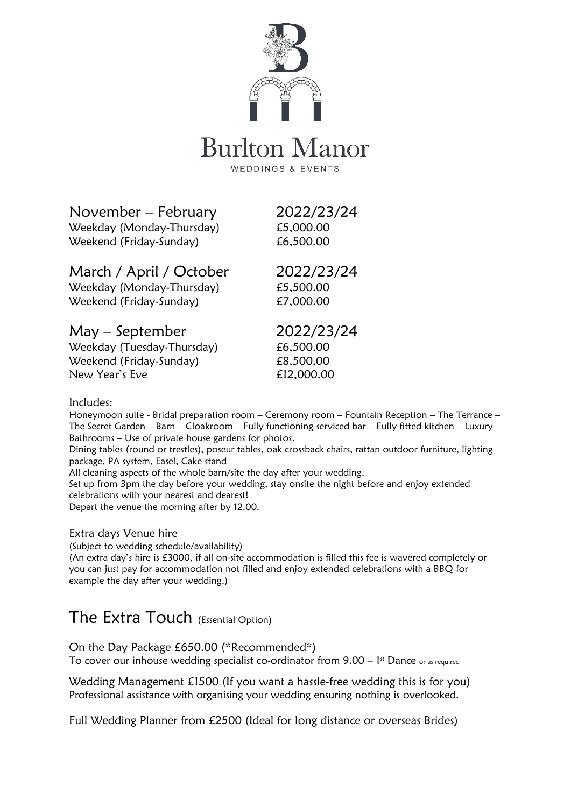

# **Burlton Manor**

WEDDINGS & EVENTS

### November – February 2022/23/24

Weekday (Monday-Thursday) £5,000.00 Weekend (Friday-Sunday) 66,500.00

## March / April / October 2022/23/24

Weekday (Monday-Thursday) £5,500.00 Weekend (Friday-Sunday) £7,000.00

### May – September 2022/23/24

Weekday (Tuesday-Thursday) 66,500.00 Weekend (Friday-Sunday) E8,500.00 New Year's Eve **Elements** 612,000.00

#### Includes:

Honeymoon suite - Bridal preparation room – Ceremony room – Fountain Reception – The Terrance – The Secret Garden – Barn – Cloakroom – Fully functioning serviced bar – Fully fitted kitchen – Luxury Bathrooms – Use of private house gardens for photos.

Dining tables (round or trestles), poseur tables, oak crossback chairs, rattan outdoor furniture, lighting package, PA system, Easel, Cake stand

All cleaning aspects of the whole barn/site the day after your wedding.

Set up from 3pm the day before your wedding, stay onsite the night before and enjoy extended celebrations with your nearest and dearest!

Depart the venue the morning after by 12.00.

#### Extra days Venue hire

(Subject to wedding schedule/availability)

(An extra day's hire is £3000, if all on-site accommodation is filled this fee is wavered completely or you can just pay for accommodation not filled and enjoy extended celebrations with a BBQ for example the day after your wedding.)

## The Extra Touch (Essential Option)

On the Day Package £650.00 (\*Recommended\*) To cover our inhouse wedding specialist co-ordinator from  $9.00 - 1$ <sup>st</sup> Dance or as required

Wedding Management £1500 (If you want a hassle-free wedding this is for you) Professional assistance with organising your wedding ensuring nothing is overlooked.

Full Wedding Planner from £2500 (Ideal for long distance or overseas Brides)